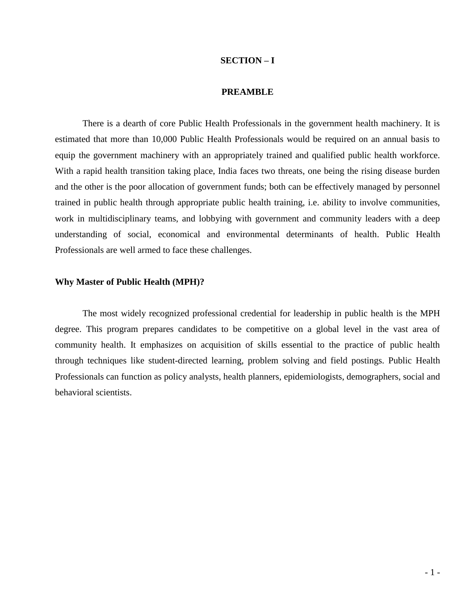#### **SECTION – I**

#### **PREAMBLE**

There is a dearth of core Public Health Professionals in the government health machinery. It is estimated that more than 10,000 Public Health Professionals would be required on an annual basis to equip the government machinery with an appropriately trained and qualified public health workforce. With a rapid health transition taking place, India faces two threats, one being the rising disease burden and the other is the poor allocation of government funds; both can be effectively managed by personnel trained in public health through appropriate public health training, i.e. ability to involve communities, work in multidisciplinary teams, and lobbying with government and community leaders with a deep understanding of social, economical and environmental determinants of health. Public Health Professionals are well armed to face these challenges.

#### **Why Master of Public Health (MPH)?**

The most widely recognized professional credential for leadership in public health is the MPH degree. This program prepares candidates to be competitive on a global level in the vast area of community health. It emphasizes on acquisition of skills essential to the practice of public health through techniques like student-directed learning, problem solving and field postings. Public Health Professionals can function as policy analysts, health planners, epidemiologists, demographers, social and behavioral scientists.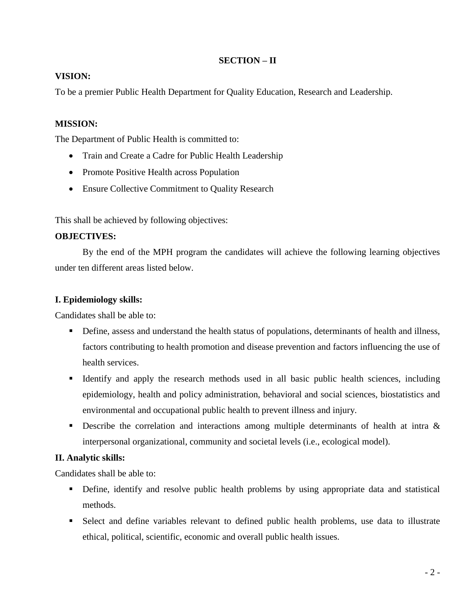### **SECTION – II**

### **VISION:**

To be a premier Public Health Department for Quality Education, Research and Leadership.

### **MISSION:**

The Department of Public Health is committed to:

- Train and Create a Cadre for Public Health Leadership
- Promote Positive Health across Population
- Ensure Collective Commitment to Quality Research

This shall be achieved by following objectives:

### **OBJECTIVES:**

By the end of the MPH program the candidates will achieve the following learning objectives under ten different areas listed below.

### **I. Epidemiology skills:**

Candidates shall be able to:

- Define, assess and understand the health status of populations, determinants of health and illness, factors contributing to health promotion and disease prevention and factors influencing the use of health services.
- Identify and apply the research methods used in all basic public health sciences, including epidemiology, health and policy administration, behavioral and social sciences, biostatistics and environmental and occupational public health to prevent illness and injury.
- Describe the correlation and interactions among multiple determinants of health at intra & interpersonal organizational, community and societal levels (i.e., ecological model).

### **II. Analytic skills:**

Candidates shall be able to:

- Define, identify and resolve public health problems by using appropriate data and statistical methods.
- Select and define variables relevant to defined public health problems, use data to illustrate ethical, political, scientific, economic and overall public health issues.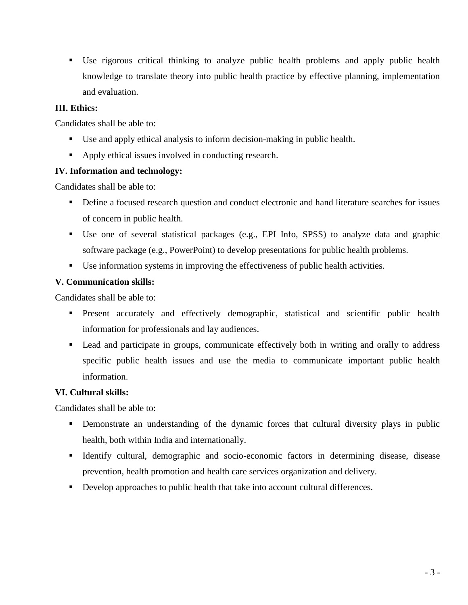Use rigorous critical thinking to analyze public health problems and apply public health knowledge to translate theory into public health practice by effective planning, implementation and evaluation.

### **III. Ethics:**

Candidates shall be able to:

- Use and apply ethical analysis to inform decision-making in public health.
- Apply ethical issues involved in conducting research.

### **IV. Information and technology:**

Candidates shall be able to:

- **•** Define a focused research question and conduct electronic and hand literature searches for issues of concern in public health.
- Use one of several statistical packages (e.g., EPI Info, SPSS) to analyze data and graphic software package (e.g., PowerPoint) to develop presentations for public health problems.
- Use information systems in improving the effectiveness of public health activities.

### **V. Communication skills:**

Candidates shall be able to:

- **Present accurately and effectively demographic, statistical and scientific public health** information for professionals and lay audiences.
- Lead and participate in groups, communicate effectively both in writing and orally to address specific public health issues and use the media to communicate important public health information.

### **VI. Cultural skills:**

Candidates shall be able to:

- Demonstrate an understanding of the dynamic forces that cultural diversity plays in public health, both within India and internationally.
- Identify cultural, demographic and socio-economic factors in determining disease, disease prevention, health promotion and health care services organization and delivery.
- Develop approaches to public health that take into account cultural differences.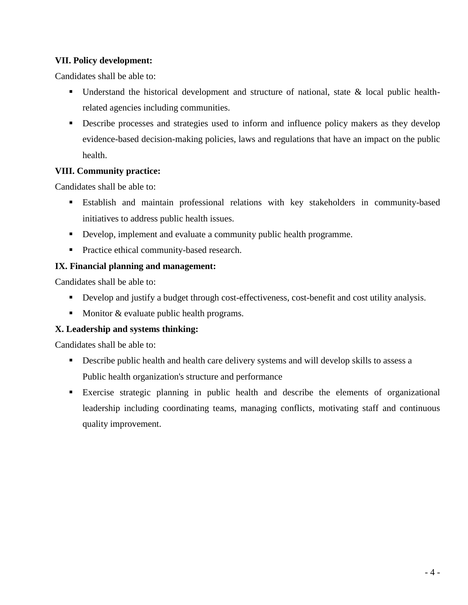### **VII. Policy development:**

Candidates shall be able to:

- **Understand the historical development and structure of national, state & local public health**related agencies including communities.
- Describe processes and strategies used to inform and influence policy makers as they develop evidence-based decision-making policies, laws and regulations that have an impact on the public health.

### **VIII. Community practice:**

Candidates shall be able to:

- Establish and maintain professional relations with key stakeholders in community-based initiatives to address public health issues.
- Develop, implement and evaluate a community public health programme.
- **Practice ethical community-based research.**

### **IX. Financial planning and management:**

Candidates shall be able to:

- Develop and justify a budget through cost-effectiveness, cost-benefit and cost utility analysis.
- Monitor  $&$  evaluate public health programs.

### **X. Leadership and systems thinking:**

Candidates shall be able to:

- Describe public health and health care delivery systems and will develop skills to assess a Public health organization's structure and performance
- Exercise strategic planning in public health and describe the elements of organizational leadership including coordinating teams, managing conflicts, motivating staff and continuous quality improvement.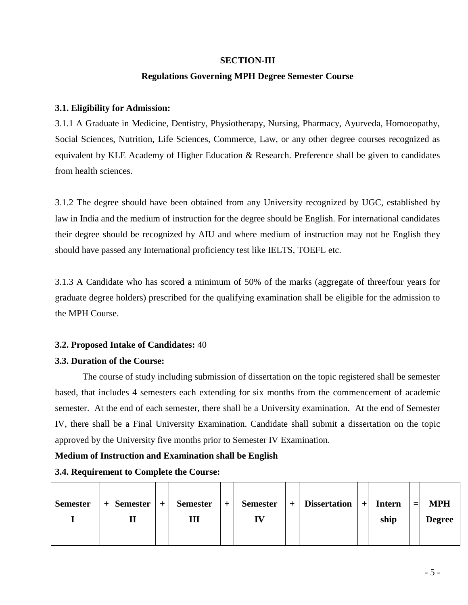#### **SECTION-III**

#### **Regulations Governing MPH Degree Semester Course**

#### **3.1. Eligibility for Admission:**

3.1.1 A Graduate in Medicine, Dentistry, Physiotherapy, Nursing, Pharmacy, Ayurveda, Homoeopathy, Social Sciences, Nutrition, Life Sciences, Commerce, Law, or any other degree courses recognized as equivalent by KLE Academy of Higher Education & Research. Preference shall be given to candidates from health sciences.

3.1.2 The degree should have been obtained from any University recognized by UGC, established by law in India and the medium of instruction for the degree should be English. For international candidates their degree should be recognized by AIU and where medium of instruction may not be English they should have passed any International proficiency test like IELTS, TOEFL etc.

3.1.3 A Candidate who has scored a minimum of 50% of the marks (aggregate of three/four years for graduate degree holders) prescribed for the qualifying examination shall be eligible for the admission to the MPH Course.

### **3.2. Proposed Intake of Candidates:** 40

#### **3.3. Duration of the Course:**

The course of study including submission of dissertation on the topic registered shall be semester based, that includes 4 semesters each extending for six months from the commencement of academic semester. At the end of each semester, there shall be a University examination. At the end of Semester IV, there shall be a Final University Examination. Candidate shall submit a dissertation on the topic approved by the University five months prior to Semester IV Examination.

#### **Medium of Instruction and Examination shall be English**

| <b>Semester</b> | $+$ Semester | $+$ | <b>Semester</b> | $+$ | <b>Semester</b> | $+$ | <b>Dissertation</b> | $+$ | <b>Intern</b> | $=$ | <b>MPH</b>    |
|-----------------|--------------|-----|-----------------|-----|-----------------|-----|---------------------|-----|---------------|-----|---------------|
|                 |              |     | Ш               |     | IV              |     |                     |     | ship          |     | <b>Degree</b> |
|                 |              |     |                 |     |                 |     |                     |     |               |     |               |

### **3.4. Requirement to Complete the Course:**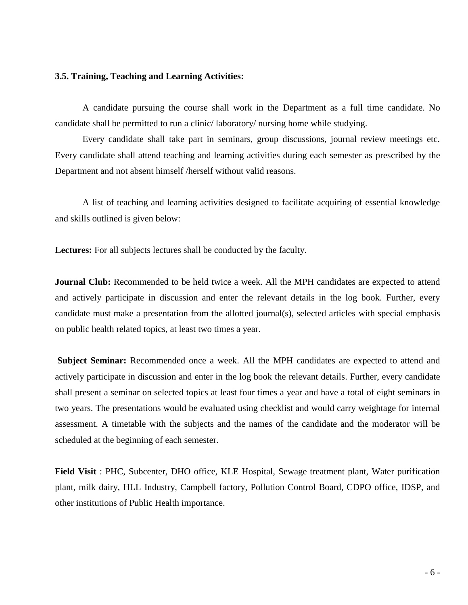#### **3.5. Training, Teaching and Learning Activities:**

A candidate pursuing the course shall work in the Department as a full time candidate. No candidate shall be permitted to run a clinic/ laboratory/ nursing home while studying.

Every candidate shall take part in seminars, group discussions, journal review meetings etc. Every candidate shall attend teaching and learning activities during each semester as prescribed by the Department and not absent himself /herself without valid reasons.

A list of teaching and learning activities designed to facilitate acquiring of essential knowledge and skills outlined is given below:

**Lectures:** For all subjects lectures shall be conducted by the faculty.

**Journal Club:** Recommended to be held twice a week. All the MPH candidates are expected to attend and actively participate in discussion and enter the relevant details in the log book. Further, every candidate must make a presentation from the allotted journal(s), selected articles with special emphasis on public health related topics, at least two times a year.

**Subject Seminar:** Recommended once a week. All the MPH candidates are expected to attend and actively participate in discussion and enter in the log book the relevant details. Further, every candidate shall present a seminar on selected topics at least four times a year and have a total of eight seminars in two years. The presentations would be evaluated using checklist and would carry weightage for internal assessment. A timetable with the subjects and the names of the candidate and the moderator will be scheduled at the beginning of each semester.

**Field Visit** : PHC, Subcenter, DHO office, KLE Hospital, Sewage treatment plant, Water purification plant, milk dairy, HLL Industry, Campbell factory, Pollution Control Board, CDPO office, IDSP, and other institutions of Public Health importance.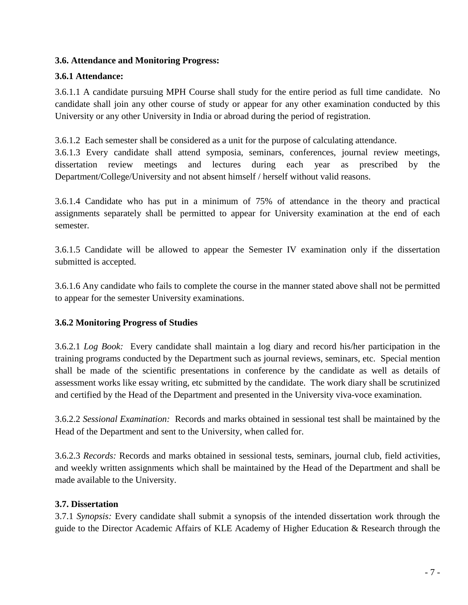### **3.6. Attendance and Monitoring Progress:**

### **3.6.1 Attendance:**

3.6.1.1 A candidate pursuing MPH Course shall study for the entire period as full time candidate. No candidate shall join any other course of study or appear for any other examination conducted by this University or any other University in India or abroad during the period of registration.

3.6.1.2 Each semester shall be considered as a unit for the purpose of calculating attendance.

3.6.1.3 Every candidate shall attend symposia, seminars, conferences, journal review meetings, dissertation review meetings and lectures during each year as prescribed by the Department/College/University and not absent himself / herself without valid reasons.

3.6.1.4 Candidate who has put in a minimum of 75% of attendance in the theory and practical assignments separately shall be permitted to appear for University examination at the end of each semester.

3.6.1.5 Candidate will be allowed to appear the Semester IV examination only if the dissertation submitted is accepted.

3.6.1.6 Any candidate who fails to complete the course in the manner stated above shall not be permitted to appear for the semester University examinations.

### **3.6.2 Monitoring Progress of Studies**

3.6.2.1 *Log Book:* Every candidate shall maintain a log diary and record his/her participation in the training programs conducted by the Department such as journal reviews, seminars, etc. Special mention shall be made of the scientific presentations in conference by the candidate as well as details of assessment works like essay writing, etc submitted by the candidate. The work diary shall be scrutinized and certified by the Head of the Department and presented in the University viva-voce examination.

3.6.2.2 *Sessional Examination:* Records and marks obtained in sessional test shall be maintained by the Head of the Department and sent to the University, when called for.

3.6.2.3 *Records:* Records and marks obtained in sessional tests, seminars, journal club, field activities, and weekly written assignments which shall be maintained by the Head of the Department and shall be made available to the University.

### **3.7. Dissertation**

3.7.1 *Synopsis:* Every candidate shall submit a synopsis of the intended dissertation work through the guide to the Director Academic Affairs of KLE Academy of Higher Education & Research through the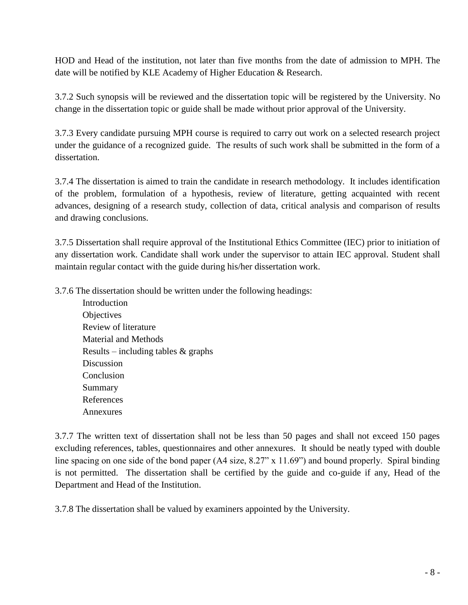HOD and Head of the institution, not later than five months from the date of admission to MPH. The date will be notified by KLE Academy of Higher Education & Research.

3.7.2 Such synopsis will be reviewed and the dissertation topic will be registered by the University. No change in the dissertation topic or guide shall be made without prior approval of the University.

3.7.3 Every candidate pursuing MPH course is required to carry out work on a selected research project under the guidance of a recognized guide. The results of such work shall be submitted in the form of a dissertation.

3.7.4 The dissertation is aimed to train the candidate in research methodology. It includes identification of the problem, formulation of a hypothesis, review of literature, getting acquainted with recent advances, designing of a research study, collection of data, critical analysis and comparison of results and drawing conclusions.

3.7.5 Dissertation shall require approval of the Institutional Ethics Committee (IEC) prior to initiation of any dissertation work. Candidate shall work under the supervisor to attain IEC approval. Student shall maintain regular contact with the guide during his/her dissertation work.

3.7.6 The dissertation should be written under the following headings:

Introduction **Objectives** Review of literature Material and Methods Results – including tables  $&$  graphs Discussion Conclusion Summary References Annexures

3.7.7 The written text of dissertation shall not be less than 50 pages and shall not exceed 150 pages excluding references, tables, questionnaires and other annexures. It should be neatly typed with double line spacing on one side of the bond paper (A4 size, 8.27" x 11.69") and bound properly. Spiral binding is not permitted. The dissertation shall be certified by the guide and co-guide if any, Head of the Department and Head of the Institution.

3.7.8 The dissertation shall be valued by examiners appointed by the University.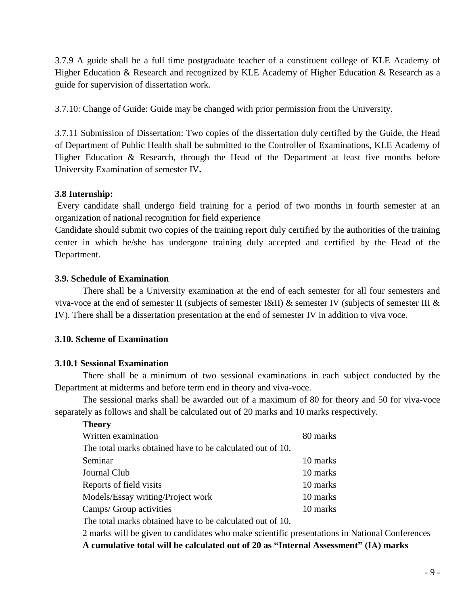3.7.9 A guide shall be a full time postgraduate teacher of a constituent college of KLE Academy of Higher Education & Research and recognized by KLE Academy of Higher Education & Research as a guide for supervision of dissertation work.

3.7.10: Change of Guide: Guide may be changed with prior permission from the University.

3.7.11 Submission of Dissertation: Two copies of the dissertation duly certified by the Guide, the Head of Department of Public Health shall be submitted to the Controller of Examinations, KLE Academy of Higher Education & Research, through the Head of the Department at least five months before University Examination of semester IV**.**

#### **3.8 Internship:**

Every candidate shall undergo field training for a period of two months in fourth semester at an organization of national recognition for field experience

Candidate should submit two copies of the training report duly certified by the authorities of the training center in which he/she has undergone training duly accepted and certified by the Head of the Department.

#### **3.9. Schedule of Examination**

There shall be a University examination at the end of each semester for all four semesters and viva-voce at the end of semester II (subjects of semester I&II) & semester IV (subjects of semester III  $\&$ IV). There shall be a dissertation presentation at the end of semester IV in addition to viva voce.

### **3.10. Scheme of Examination**

#### **3.10.1 Sessional Examination**

There shall be a minimum of two sessional examinations in each subject conducted by the Department at midterms and before term end in theory and viva-voce.

The sessional marks shall be awarded out of a maximum of 80 for theory and 50 for viva-voce separately as follows and shall be calculated out of 20 marks and 10 marks respectively.

| parately as follows and shall be calculated out of 20 marks and 10 marks respec |          |
|---------------------------------------------------------------------------------|----------|
| <b>Theory</b>                                                                   |          |
| Written examination                                                             | 80 marks |
| The total marks obtained have to be calculated out of 10.                       |          |
| Seminar                                                                         | 10 marks |
| Journal Club                                                                    | 10 marks |
| Reports of field visits                                                         | 10 marks |
| Models/Essay writing/Project work                                               | 10 marks |
| Camps/ Group activities                                                         | 10 marks |
| The total marks obtained have to be calculated out of 10                        |          |

The total marks obtained have to be calculated out of 10.

2 marks will be given to candidates who make scientific presentations in National Conferences

**A cumulative total will be calculated out of 20 as "Internal Assessment" (IA) marks**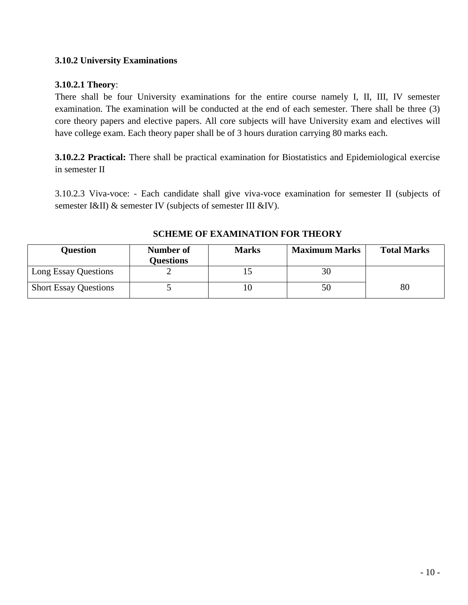### **3.10.2 University Examinations**

### **3.10.2.1 Theory**:

There shall be four University examinations for the entire course namely I, II, III, IV semester examination. The examination will be conducted at the end of each semester. There shall be three (3) core theory papers and elective papers. All core subjects will have University exam and electives will have college exam. Each theory paper shall be of 3 hours duration carrying 80 marks each.

**3.10.2.2 Practical:** There shall be practical examination for Biostatistics and Epidemiological exercise in semester II

3.10.2.3 Viva-voce: - Each candidate shall give viva-voce examination for semester II (subjects of semester I&II) & semester IV (subjects of semester III &IV).

| <b>Ouestion</b>              | Number of<br><b>Questions</b> | <b>Marks</b> | <b>Maximum Marks</b> | <b>Total Marks</b> |
|------------------------------|-------------------------------|--------------|----------------------|--------------------|
| Long Essay Questions         |                               |              |                      |                    |
| <b>Short Essay Questions</b> |                               |              | 50                   | 80                 |

#### **SCHEME OF EXAMINATION FOR THEORY**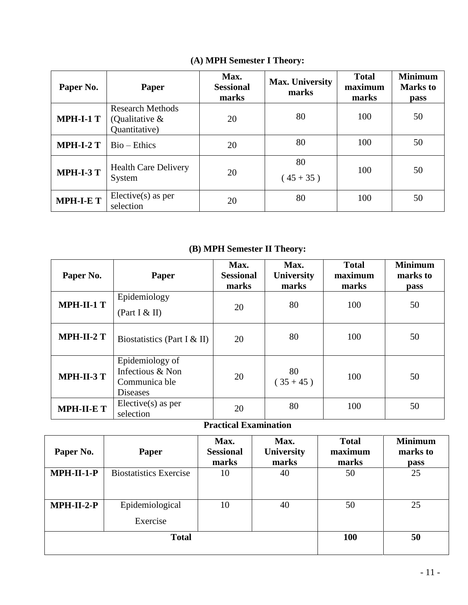| Paper No.        | <b>Paper</b>                                                  | Max.<br><b>Sessional</b><br>marks | Max. University<br>marks | <b>Total</b><br>maximum<br>marks | <b>Minimum</b><br><b>Marks</b> to<br><b>pass</b> |
|------------------|---------------------------------------------------------------|-----------------------------------|--------------------------|----------------------------------|--------------------------------------------------|
| <b>MPH-I-1 T</b> | <b>Research Methods</b><br>(Qualitative $\&$<br>Quantitative) | 20                                | 80                       | 100                              | 50                                               |
| <b>MPH-I-2 T</b> | $Bio-Ethics$                                                  | 20                                | 80                       | 100                              | 50                                               |
| <b>MPH-I-3 T</b> | <b>Health Care Delivery</b><br>System                         | 20                                | 80<br>$(45+35)$          | 100                              | 50                                               |
| <b>MPH-I-ET</b>  | $Electric(s)$ as per<br>selection                             | 20                                | 80                       | 100                              | 50                                               |

# **(A) MPH Semester I Theory:**

# **(B) MPH Semester II Theory:**

| Paper No.         | <b>Paper</b>                                                            | Max.<br><b>Sessional</b><br>marks | Max.<br><b>University</b><br>marks | <b>Total</b><br>maximum<br>marks | <b>Minimum</b><br>marks to<br>pass |
|-------------------|-------------------------------------------------------------------------|-----------------------------------|------------------------------------|----------------------------------|------------------------------------|
| $MPH-II-1$ T      | Epidemiology<br>(Part I & II)                                           | 20                                | 80                                 | 100                              | 50                                 |
| $MPH-II-2T$       | Biostatistics (Part I & II)                                             | 20                                | 80                                 | 100                              | 50                                 |
| <b>MPH-II-3 T</b> | Epidemiology of<br>Infectious & Non<br>Communica ble<br><b>Diseases</b> | 20                                | 80<br>$(35+45)$                    | 100                              | 50                                 |
| <b>MPH-II-E T</b> | $Electric(s)$ as per<br>selection                                       | 20                                | 80                                 | 100                              | 50                                 |

## **Practical Examination**

| Paper No.    | Paper                         | Max.<br><b>Sessional</b><br>marks | Max.<br><b>University</b><br>marks | <b>Total</b><br>maximum<br>marks | <b>Minimum</b><br>marks to<br><b>pass</b> |
|--------------|-------------------------------|-----------------------------------|------------------------------------|----------------------------------|-------------------------------------------|
| $MPH-II-1-P$ | <b>Biostatistics Exercise</b> | 10                                | 40                                 | 50                               | 25                                        |
| $MPH-II-2-P$ | Epidemiological<br>Exercise   | 10                                | 40                                 | 50                               | 25                                        |
|              | <b>Total</b>                  | <b>100</b>                        | 50                                 |                                  |                                           |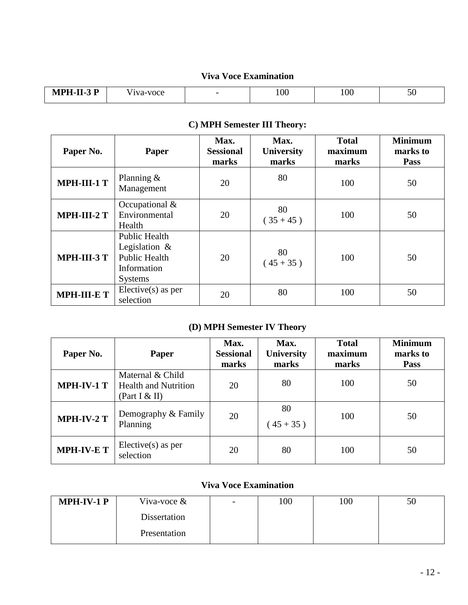## **Viva Voce Examination**

| $MPH-II-3 P$ | - -<br>-voce | $\overline{\phantom{0}}$ | 100 | 100 | $\sim$ $\sim$<br>$\sim$ $\circ$ |
|--------------|--------------|--------------------------|-----|-----|---------------------------------|
|--------------|--------------|--------------------------|-----|-----|---------------------------------|

| Paper No.          | <b>Paper</b>                                                                                      | Max.<br><b>Sessional</b><br>marks | Max.<br>University<br>marks | <b>Total</b><br>maximum<br>marks | <b>Minimum</b><br>marks to<br>Pass |
|--------------------|---------------------------------------------------------------------------------------------------|-----------------------------------|-----------------------------|----------------------------------|------------------------------------|
| MPH-III-1 T        | Planning $\&$<br>Management                                                                       | 20                                | 80                          | 100                              | 50                                 |
| $MPH-III-2T$       | Occupational $&$<br>Environmental<br>Health                                                       | 20                                | 80<br>$(35+45)$             | 100                              | 50                                 |
| $MPH-III-3T$       | <b>Public Health</b><br>Legislation $\&$<br><b>Public Health</b><br>Information<br><b>Systems</b> | 20                                | 80<br>$(45+35)$             | 100                              | 50                                 |
| <b>MPH-III-E T</b> | $Electric(s)$ as per<br>selection                                                                 | 20                                | 80                          | 100                              | 50                                 |

# **C) MPH Semester III Theory:**

# **(D) MPH Semester IV Theory**

| Paper No.         | <b>Paper</b>                                                       | Max.<br><b>Sessional</b><br>marks | Max.<br><b>University</b><br>marks | <b>Total</b><br>maximum<br>marks | <b>Minimum</b><br>marks to<br><b>Pass</b> |
|-------------------|--------------------------------------------------------------------|-----------------------------------|------------------------------------|----------------------------------|-------------------------------------------|
| <b>MPH-IV-1 T</b> | Maternal & Child<br><b>Health and Nutrition</b><br>(Part I $&$ II) | 20                                | 80                                 | 100                              | 50                                        |
| MPH-IV-2 T        | Demography & Family<br>Planning                                    | 20                                | 80<br>$(45+35)$                    | 100                              | 50                                        |
| <b>MPH-IV-ET</b>  | Elective(s) as per<br>selection                                    | 20                                | 80                                 | 100                              | 50                                        |

## **Viva Voce Examination**

| $MPH-IV-1$ P | Viva-voce $\&$ | $\overline{\phantom{0}}$ | 100 | 100 | 50 |
|--------------|----------------|--------------------------|-----|-----|----|
|              | Dissertation   |                          |     |     |    |
|              | Presentation   |                          |     |     |    |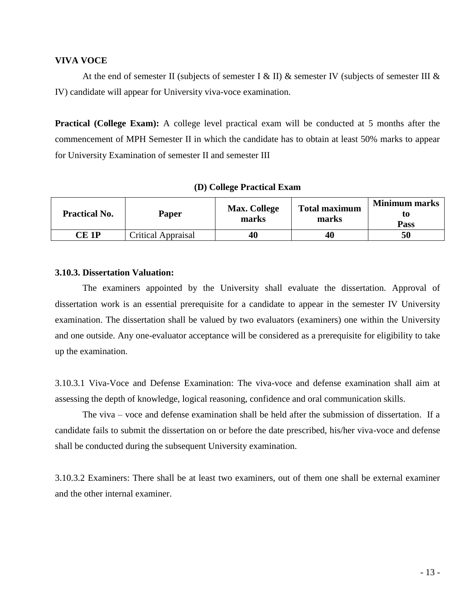#### **VIVA VOCE**

At the end of semester II (subjects of semester I & II) & semester IV (subjects of semester III & IV) candidate will appear for University viva-voce examination.

**Practical (College Exam):** A college level practical exam will be conducted at 5 months after the commencement of MPH Semester II in which the candidate has to obtain at least 50% marks to appear for University Examination of semester II and semester III

| <b>Practical No.</b> | <b>Paper</b>              | <b>Max. College</b><br>marks | <b>Total maximum</b><br>marks | <b>Minimum marks</b><br>t0<br><b>Pass</b> |
|----------------------|---------------------------|------------------------------|-------------------------------|-------------------------------------------|
| CE 1P                | <b>Critical Appraisal</b> | 40                           | 40                            | 50                                        |

#### **3.10.3. Dissertation Valuation:**

The examiners appointed by the University shall evaluate the dissertation. Approval of dissertation work is an essential prerequisite for a candidate to appear in the semester IV University examination. The dissertation shall be valued by two evaluators (examiners) one within the University and one outside. Any one-evaluator acceptance will be considered as a prerequisite for eligibility to take up the examination.

3.10.3.1 Viva-Voce and Defense Examination: The viva-voce and defense examination shall aim at assessing the depth of knowledge, logical reasoning, confidence and oral communication skills.

The viva – voce and defense examination shall be held after the submission of dissertation. If a candidate fails to submit the dissertation on or before the date prescribed, his/her viva-voce and defense shall be conducted during the subsequent University examination.

3.10.3.2 Examiners: There shall be at least two examiners, out of them one shall be external examiner and the other internal examiner.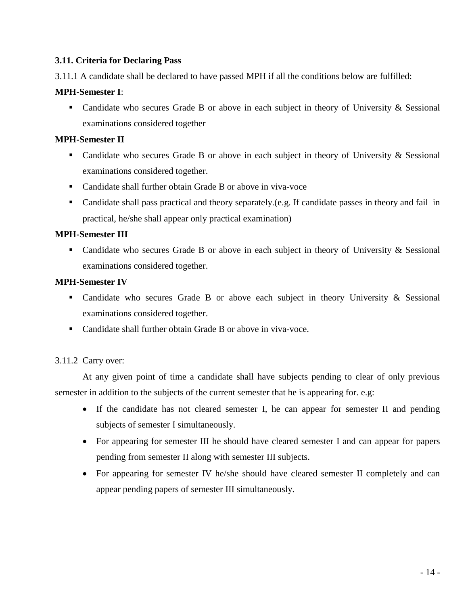### **3.11. Criteria for Declaring Pass**

3.11.1 A candidate shall be declared to have passed MPH if all the conditions below are fulfilled:

### **MPH-Semester I**:

• Candidate who secures Grade B or above in each subject in theory of University & Sessional examinations considered together

#### **MPH-Semester II**

- Candidate who secures Grade B or above in each subject in theory of University & Sessional examinations considered together.
- Candidate shall further obtain Grade B or above in viva-voce
- Candidate shall pass practical and theory separately. (e.g. If candidate passes in theory and fail in practical, he/she shall appear only practical examination)

#### **MPH-Semester III**

• Candidate who secures Grade B or above in each subject in theory of University & Sessional examinations considered together.

#### **MPH-Semester IV**

- Candidate who secures Grade B or above each subject in theory University & Sessional examinations considered together.
- Candidate shall further obtain Grade B or above in viva-voce.

### 3.11.2 Carry over:

 At any given point of time a candidate shall have subjects pending to clear of only previous semester in addition to the subjects of the current semester that he is appearing for. e.g:

- If the candidate has not cleared semester I, he can appear for semester II and pending subjects of semester I simultaneously.
- For appearing for semester III he should have cleared semester I and can appear for papers pending from semester II along with semester III subjects.
- For appearing for semester IV he/she should have cleared semester II completely and can appear pending papers of semester III simultaneously.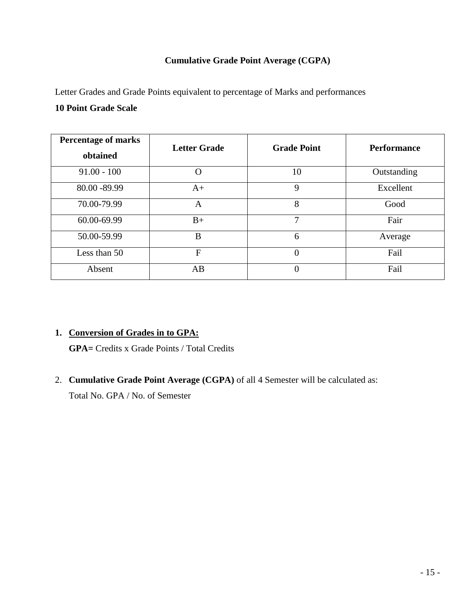### **Cumulative Grade Point Average (CGPA)**

Letter Grades and Grade Points equivalent to percentage of Marks and performances **10 Point Grade Scale**

| <b>Percentage of marks</b><br>obtained | <b>Letter Grade</b> | <b>Grade Point</b> | <b>Performance</b> |
|----------------------------------------|---------------------|--------------------|--------------------|
| $91.00 - 100$                          | $\mathcal{O}$       | 10                 | Outstanding        |
| 80.00 - 89.99                          | $A+$                | 9                  | Excellent          |
| 70.00-79.99                            | A                   | 8                  | Good               |
| 60.00-69.99                            | $B+$                | 7                  | Fair               |
| 50.00-59.99                            | B                   | 6                  | Average            |
| Less than 50                           | F                   | $\overline{0}$     | Fail               |
| Absent                                 | AB                  | 0                  | Fail               |

### **1. Conversion of Grades in to GPA:**

**GPA=** Credits x Grade Points / Total Credits

2. **Cumulative Grade Point Average (CGPA)** of all 4 Semester will be calculated as:

Total No. GPA / No. of Semester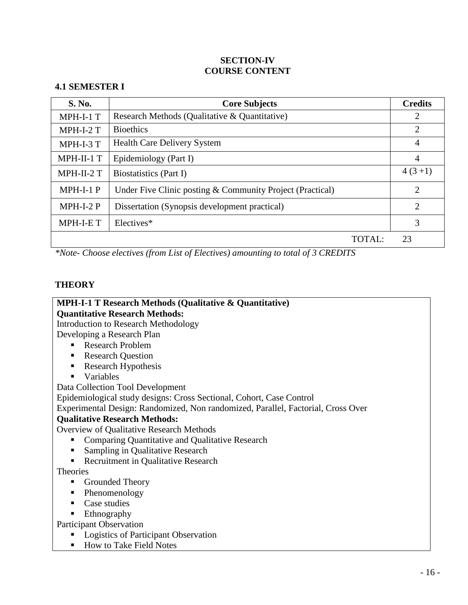### **SECTION-IV COURSE CONTENT**

### **4.1 SEMESTER I**

| <b>S. No.</b> | <b>Core Subjects</b>                                      | <b>Credits</b> |
|---------------|-----------------------------------------------------------|----------------|
| MPH-I-1 T     | Research Methods (Qualitative & Quantitative)             | 2              |
| $MPH-I-2T$    | <b>Bioethics</b>                                          | $\overline{2}$ |
| MPH-I-3 T     | <b>Health Care Delivery System</b>                        | $\overline{4}$ |
| MPH-II-1 T    | Epidemiology (Part I)                                     | 4              |
| MPH-II-2 T    | Biostatistics (Part I)                                    | $4(3+1)$       |
| $MPH-I-1$ P   | Under Five Clinic posting & Community Project (Practical) | $\overline{2}$ |
| $MPH-I-2 P$   | Dissertation (Synopsis development practical)             | $\overline{2}$ |
| MPH-I-E T     | Electives*                                                | 3              |
|               | $\text{TOTAI}:$                                           | 23             |

*\*Note- Choose electives (from List of Electives) amounting to total of 3 CREDITS*

### **THEORY**

## **MPH-I-1 T Research Methods (Qualitative & Quantitative) Quantitative Research Methods:**

Introduction to Research Methodology

Developing a Research Plan

- Research Problem
- Research Question
- Research Hypothesis
- **variables**

Data Collection Tool Development

Epidemiological study designs: Cross Sectional, Cohort, Case Control

Experimental Design: Randomized, Non randomized, Parallel, Factorial, Cross Over

### **Qualitative Research Methods:**

Overview of Qualitative Research Methods

- **EXECOMPARISH** Comparing Quantitative and Qualitative Research
- **Sampling in Qualitative Research**
- Recruitment in Qualitative Research

**Theories** 

- Grounded Theory
- Phenomenology
- Case studies
- **Ethnography**

Participant Observation

- **Logistics of Participant Observation**
- How to Take Field Notes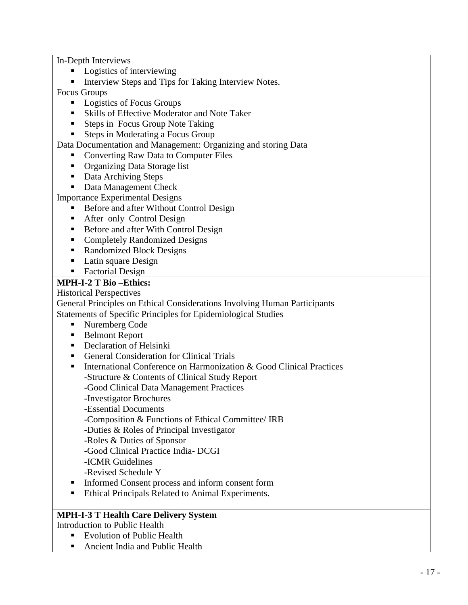In-Depth Interviews

- Logistics of interviewing
- **Interview Steps and Tips for Taking Interview Notes.**

Focus Groups

- **Logistics of Focus Groups**
- Skills of Effective Moderator and Note Taker
- Steps in Focus Group Note Taking
- Steps in Moderating a Focus Group

Data Documentation and Management: Organizing and storing Data

- Converting Raw Data to Computer Files
- Organizing Data Storage list
- Data Archiving Steps
- Data Management Check

Importance Experimental Designs

- Before and after Without Control Design
- **After only Control Design**
- Before and after With Control Design
- Completely Randomized Designs
- Randomized Block Designs
- Latin square Design
- Factorial Design

### **MPH-I-2 T Bio –Ethics:**

Historical Perspectives

General Principles on Ethical Considerations Involving Human Participants Statements of Specific Principles for Epidemiological Studies

- Nuremberg Code
- Belmont Report
- **Declaration of Helsinki**
- General Consideration for Clinical Trials
- **International Conference on Harmonization & Good Clinical Practices** 
	- -Structure & Contents of Clinical Study Report

-Good Clinical Data Management Practices

- -Investigator Brochures
- -Essential Documents
- -Composition & Functions of Ethical Committee/ IRB

-Duties & Roles of Principal Investigator

-Roles & Duties of Sponsor

- -Good Clinical Practice India- DCGI
- -ICMR Guidelines
- -Revised Schedule Y
- **Informed Consent process and inform consent form**
- Ethical Principals Related to Animal Experiments.

### **MPH-I-3 T Health Care Delivery System**

Introduction to Public Health

- **Evolution of Public Health**
- Ancient India and Public Health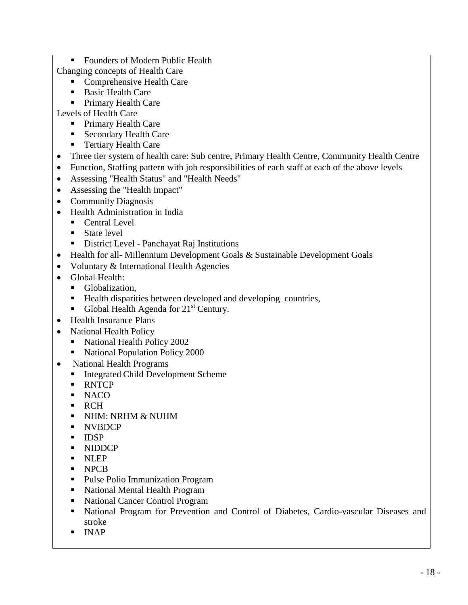- **Founders of Modern Public Health**
- Changing concepts of Health Care
	- Comprehensive Health Care
	- **Basic Health Care**
	- Primary Health Care

Levels of Health Care

- **Primary Health Care**
- Secondary Health Care
- **Tertiary Health Care**
- Three tier system of health care: Sub centre, Primary Health Centre, Community Health Centre
- Function, Staffing pattern with job responsibilities of each staff at each of the above levels
- Assessing "Health Status" and "Health Needs"
- Assessing the "Health Impact"
- Community Diagnosis
- Health Administration in India
	- Central Level
	- State level
	- District Level Panchayat Raj Institutions
- Health for all-Millennium Development Goals & Sustainable Development Goals
- Voluntary & International Health Agencies
- Global Health:
	- Globalization,
	- Health disparities between developed and developing countries,
	- Global Health Agenda for  $21<sup>st</sup>$  Century.
- Health Insurance Plans
- National Health Policy
	- National Health Policy 2002
	- National Population Policy 2000
- National Health Programs
	- Integrated Child Development Scheme
	- **RNTCP**
	- $NACO$
	- RCH
	- **NHM: NRHM & NUHM**
	- **NVBDCP**
	- **IDSP**
	- **NIDDCP**
	- **NLEP**
	- NPCB
	- Pulse Polio Immunization Program
	- National Mental Health Program
	- National Cancer Control Program
	- National Program for Prevention and Control of Diabetes, Cardio-vascular Diseases and stroke
	- $INAP$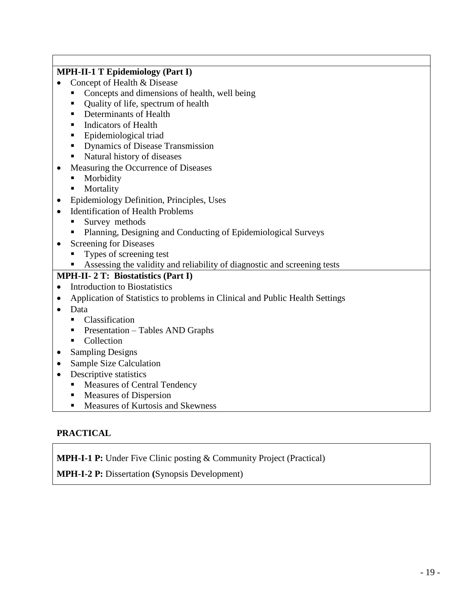| <b>MPH-II-1 T Epidemiology (Part I)</b>                                           |
|-----------------------------------------------------------------------------------|
| Concept of Health & Disease                                                       |
| Concepts and dimensions of health, well being                                     |
| Quality of life, spectrum of health<br>$\blacksquare$                             |
| Determinants of Health                                                            |
| <b>Indicators of Health</b><br>п                                                  |
| Epidemiological triad<br>П                                                        |
| Dynamics of Disease Transmission<br>п                                             |
| Natural history of diseases<br>п                                                  |
| Measuring the Occurrence of Diseases<br>$\bullet$                                 |
| Morbidity                                                                         |
| Mortality<br>п                                                                    |
| Epidemiology Definition, Principles, Uses<br>$\bullet$                            |
| <b>Identification of Health Problems</b><br>$\bullet$                             |
| Survey methods                                                                    |
| Planning, Designing and Conducting of Epidemiological Surveys                     |
| <b>Screening for Diseases</b><br>$\bullet$                                        |
| Types of screening test                                                           |
| Assessing the validity and reliability of diagnostic and screening tests          |
| <b>MPH-II-2 T: Biostatistics (Part I)</b>                                         |
| <b>Introduction to Biostatistics</b><br>$\bullet$                                 |
| Application of Statistics to problems in Clinical and Public Health Settings<br>٠ |
| Data                                                                              |
| Classification<br>٠                                                               |
| Presentation – Tables AND Graphs<br>п                                             |
| Collection<br>٠                                                                   |
| <b>Sampling Designs</b><br>$\bullet$                                              |
| <b>Sample Size Calculation</b><br>٠                                               |
| Descriptive statistics<br>$\bullet$                                               |
| <b>Measures of Central Tendency</b><br>п                                          |
| Measures of Dispersion                                                            |
| Measures of Kurtosis and Skewness<br>П                                            |

## **PRACTICAL**

**MPH-I-1 P:** Under Five Clinic posting & Community Project (Practical)

**MPH-I-2 P:** Dissertation **(**Synopsis Development)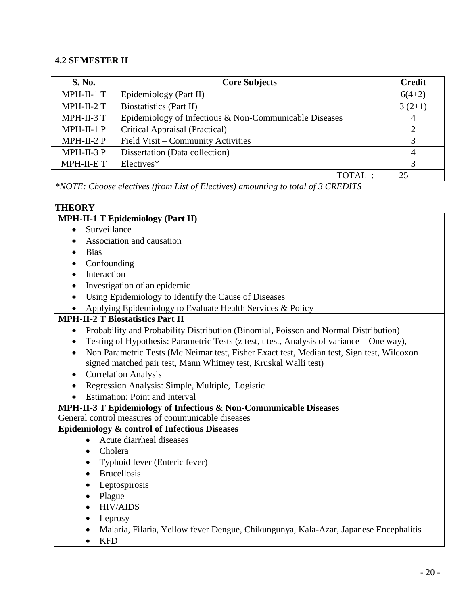### **4.2 SEMESTER II**

| <b>S. No.</b> | <b>Core Subjects</b>                                   | <b>Credit</b>               |
|---------------|--------------------------------------------------------|-----------------------------|
| MPH-II-1 T    | Epidemiology (Part II)                                 | $6(4+2)$                    |
| MPH-II-2 T    | Biostatistics (Part II)                                | $3(2+1)$                    |
| MPH-II-3 T    | Epidemiology of Infectious & Non-Communicable Diseases | 4                           |
| MPH-II-1 P    | Critical Appraisal (Practical)                         | $\mathcal{D}_{\mathcal{A}}$ |
| $MPH-II-2 P$  | Field Visit – Community Activities                     |                             |
| MPH-II-3 P    | Dissertation (Data collection)                         | 4                           |
| MPH-II-E T    | Electives*                                             |                             |
|               | TOTAL:                                                 | 25                          |

*\*NOTE: Choose electives (from List of Electives) amounting to total of 3 CREDITS*

#### **THEORY**

#### **MPH-II-1 T Epidemiology (Part II)**

- Surveillance
- Association and causation
- Bias
- Confounding
- Interaction
- Investigation of an epidemic
- Using Epidemiology to Identify the Cause of Diseases
- Applying Epidemiology to Evaluate Health Services & Policy

### **MPH-II-2 T Biostatistics Part II**

- Probability and Probability Distribution (Binomial, Poisson and Normal Distribution)
- Testing of Hypothesis: Parametric Tests (z test, t test, Analysis of variance One way),
- Non Parametric Tests (Mc Neimar test, Fisher Exact test, Median test, Sign test, Wilcoxon signed matched pair test, Mann Whitney test, Kruskal Walli test)
- Correlation Analysis
- Regression Analysis: Simple, Multiple, Logistic
- Estimation: Point and Interval

### **MPH-II-3 T Epidemiology of Infectious & Non-Communicable Diseases**

General control measures of communicable diseases

#### **Epidemiology & control of Infectious Diseases**

- Acute diarrheal diseases
- Cholera
- Typhoid fever (Enteric fever)
- Brucellosis
- Leptospirosis
- Plague
- HIV/AIDS
- Leprosy
- Malaria, Filaria, Yellow fever Dengue, Chikungunya, Kala-Azar, Japanese Encephalitis
- KFD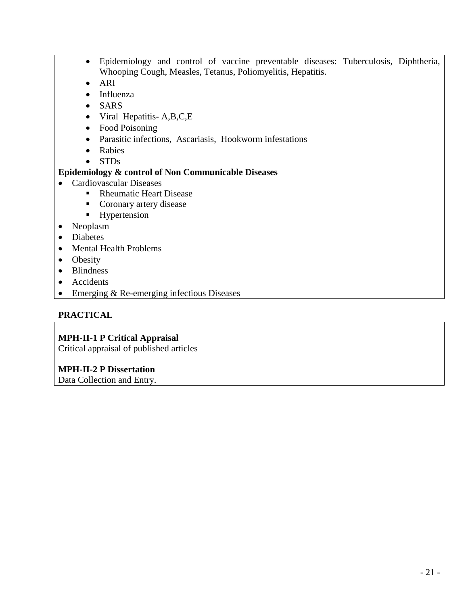- Epidemiology and control of vaccine preventable diseases: Tuberculosis, Diphtheria, Whooping Cough, Measles, Tetanus, Poliomyelitis, Hepatitis.
- ARI
- Influenza
- SARS
- Viral Hepatitis-A,B,C,E
- Food Poisoning
- Parasitic infections, Ascariasis, Hookworm infestations
- Rabies
- STDs

### **Epidemiology & control of Non Communicable Diseases**

- Cardiovascular Diseases
	- Rheumatic Heart Disease
	- **Coronary artery disease**
	- **Hypertension**
- Neoplasm
- Diabetes
- Mental Health Problems
- Obesity
- Blindness
- Accidents
- Emerging & Re-emerging infectious Diseases

### **PRACTICAL**

### **MPH-II-1 P Critical Appraisal**

Critical appraisal of published articles

### **MPH-II-2 P Dissertation**

Data Collection and Entry.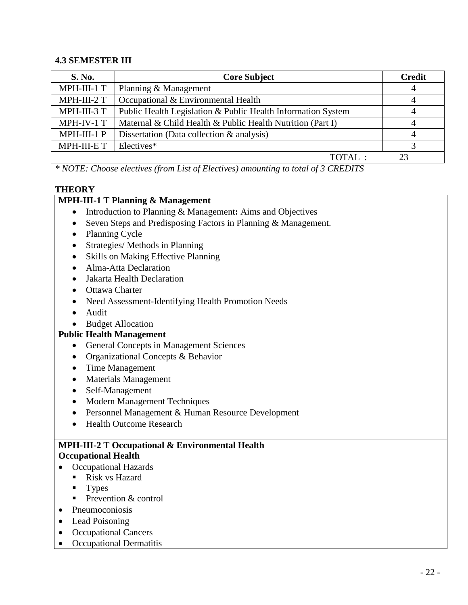### **4.3 SEMESTER III**

| <b>S. No.</b> | <b>Core Subject</b>                                          | <b>Credit</b> |
|---------------|--------------------------------------------------------------|---------------|
| MPH-III-1 T   | Planning & Management                                        | 4             |
| MPH-III-2 T   | Occupational & Environmental Health                          |               |
| MPH-III-3 T   | Public Health Legislation & Public Health Information System |               |
| MPH-IV-1 T    | Maternal & Child Health & Public Health Nutrition (Part I)   |               |
| MPH-III-1 P   | Dissertation (Data collection $\&$ analysis)                 |               |
| MPH-III-E T   | Electives*                                                   |               |
|               | TOTAL:                                                       |               |

*\* NOTE: Choose electives (from List of Electives) amounting to total of 3 CREDITS*

### **THEORY**

### **MPH-III-1 T Planning & Management**

- Introduction to Planning & Management: Aims and Objectives
- Seven Steps and Predisposing Factors in Planning & Management.
- Planning Cycle
- Strategies/ Methods in Planning
- Skills on Making Effective Planning
- Alma-Atta Declaration
- Jakarta Health Declaration
- Ottawa Charter
- Need Assessment-Identifying Health Promotion Needs
- Audit
- Budget Allocation

### **Public Health Management**

- General Concepts in Management Sciences
- Organizational Concepts & Behavior
- Time Management
- Materials Management
- Self-Management
- Modern Management Techniques
- Personnel Management & Human Resource Development
- Health Outcome Research

### **MPH-III-2 T Occupational & Environmental Health Occupational Health**

- Occupational Hazards
	- Risk vs Hazard
	- $\blacksquare$  Types
	- **Prevention & control**
- Pneumoconiosis
- Lead Poisoning
- Occupational Cancers
- Occupational Dermatitis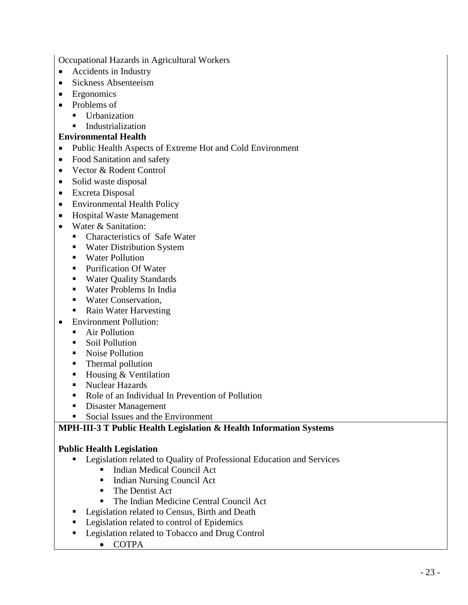Occupational Hazards in Agricultural Workers

- Accidents in Industry
- Sickness Absenteeism
- Ergonomics
- Problems of
	- Urbanization
	- **Industrialization**

#### **Environmental Health**

- Public Health Aspects of Extreme Hot and Cold Environment
- Food Sanitation and safety
- Vector & Rodent Control
- Solid waste disposal
- Excreta Disposal
- Environmental Health Policy
- Hospital Waste Management
- Water & Sanitation:
	- Characteristics of Safe Water
	- **Water Distribution System**
	- **Water Pollution**
	- Purification Of Water
	- **Water Quality Standards**
	- Water Problems In India
	- Water Conservation.
	- Rain Water Harvesting
- Environment Pollution:
	- **Air Pollution**
	- Soil Pollution
	- Noise Pollution
	- Thermal pollution
	- $\blacksquare$  Housing & Ventilation
	- Nuclear Hazards
	- Role of an Individual In Prevention of Pollution
	- **Disaster Management**
	- Social Issues and the Environment

### **MPH-III-3 T Public Health Legislation & Health Information Systems**

### **Public Health Legislation**

- **Exercise 1** Legislation related to Quality of Professional Education and Services
	- Indian Medical Council Act
	- Indian Nursing Council Act
	- **The Dentist Act**
	- The Indian Medicine Central Council Act
- **Legislation related to Census, Birth and Death**
- **Legislation related to control of Epidemics**
- **Legislation related to Tobacco and Drug Control** 
	- COTPA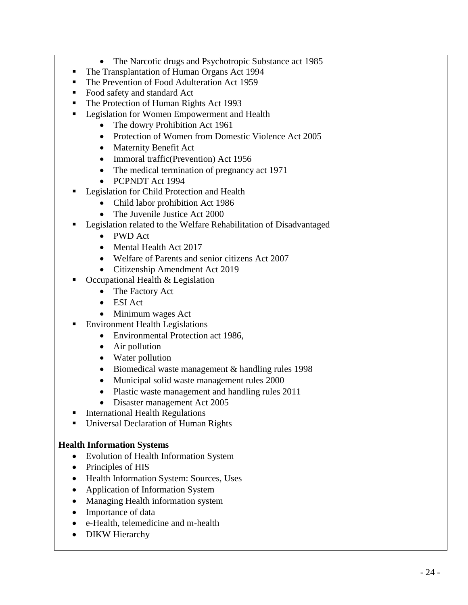- The Narcotic drugs and Psychotropic Substance act 1985
- The Transplantation of Human Organs Act 1994
- The Prevention of Food Adulteration Act 1959
- Food safety and standard Act
- The Protection of Human Rights Act 1993
- **Legislation for Women Empowerment and Health** 
	- The dowry Prohibition Act 1961
	- Protection of Women from Domestic Violence Act 2005
	- Maternity Benefit Act
	- Immoral traffic (Prevention) Act 1956
	- The medical termination of pregnancy act 1971
	- PCPNDT Act 1994
- **Legislation for Child Protection and Health** 
	- Child labor prohibition Act 1986
	- The Juvenile Justice Act 2000
- **EXECUTE:** Legislation related to the Welfare Rehabilitation of Disadvantaged
	- PWD Act
	- Mental Health Act 2017
	- Welfare of Parents and senior citizens Act 2007
	- Citizenship Amendment Act 2019
- Occupational Health & Legislation
	- The Factory Act
	- ESI Act
	- Minimum wages Act
	- Environment Health Legislations
		- Environmental Protection act 1986,
		- Air pollution
		- Water pollution
		- Biomedical waste management & handling rules 1998
		- Municipal solid waste management rules 2000
		- Plastic waste management and handling rules 2011
		- Disaster management Act 2005
- **International Health Regulations**
- Universal Declaration of Human Rights

### **Health Information Systems**

- Evolution of Health Information System
- Principles of HIS
- Health Information System: Sources, Uses
- Application of Information System
- Managing Health information system
- Importance of data
- e-Health, telemedicine and m-health
- DIKW Hierarchy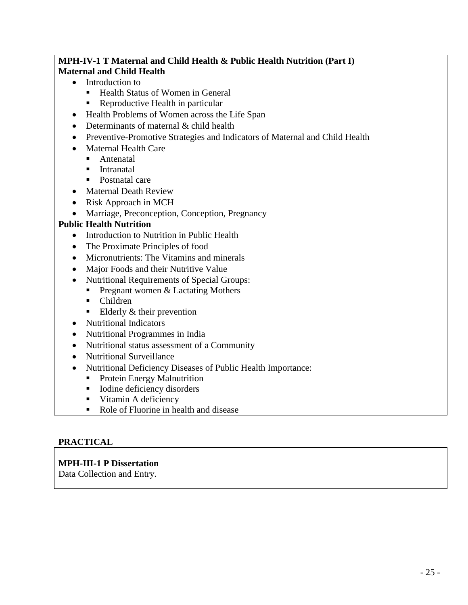## **MPH-IV-1 T Maternal and Child Health & Public Health Nutrition (Part I) Maternal and Child Health**

- Introduction to
	- Health Status of Women in General
	- Reproductive Health in particular
- Health Problems of Women across the Life Span
- Determinants of maternal & child health
- Preventive-Promotive Strategies and Indicators of Maternal and Child Health
- Maternal Health Care
	- **Antenatal**
	- **Intranatal**
	- Postnatal care
- Maternal Death Review
- Risk Approach in MCH
- Marriage, Preconception, Conception, Pregnancy

### **Public Health Nutrition**

- Introduction to Nutrition in Public Health
- The Proximate Principles of food
- Micronutrients: The Vitamins and minerals
- Major Foods and their Nutritive Value
- Nutritional Requirements of Special Groups:
	- **Pregnant women & Lactating Mothers**
	- Children
	- Elderly  $&$  their prevention
- Nutritional Indicators
- Nutritional Programmes in India
- Nutritional status assessment of a Community
- Nutritional Surveillance
- Nutritional Deficiency Diseases of Public Health Importance:
	- **Protein Energy Malnutrition**
	- Iodine deficiency disorders
	- **Vitamin A deficiency**
	- Role of Fluorine in health and disease

### **PRACTICAL**

### **MPH-III-1 P Dissertation**

Data Collection and Entry.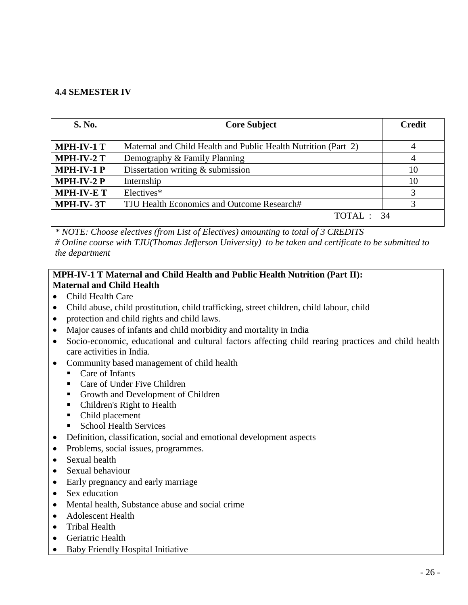### **4.4 SEMESTER IV**

| <b>S. No.</b>     | <b>Core Subject</b>                                            | <b>Credit</b> |
|-------------------|----------------------------------------------------------------|---------------|
| <b>MPH-IV-1 T</b> | Maternal and Child Health and Public Health Nutrition (Part 2) | 4             |
| <b>MPH-IV-2 T</b> | Demography & Family Planning                                   | 4             |
| <b>MPH-IV-1P</b>  | Dissertation writing $&$ submission                            | 10            |
| <b>MPH-IV-2 P</b> | Internship                                                     | 10            |
| <b>MPH-IV-ET</b>  | Electives*                                                     | 3             |
| MPH-IV-3T         | TJU Health Economics and Outcome Research#                     |               |
|                   | TOTAL: 34                                                      |               |

*\* NOTE: Choose electives (from List of Electives) amounting to total of 3 CREDITS # Online course with TJU(Thomas Jefferson University) to be taken and certificate to be submitted to the department*

#### **MPH-IV-1 T Maternal and Child Health and Public Health Nutrition (Part II): Maternal and Child Health**

- Child Health Care
- Child abuse, child prostitution, child trafficking, street children, child labour, child
- protection and child rights and child laws.
- Major causes of infants and child morbidity and mortality in India
- Socio-economic, educational and cultural factors affecting child rearing practices and child health care activities in India.
- Community based management of child health
	- Care of Infants
	- Care of Under Five Children
	- Growth and Development of Children
	- Children's Right to Health
	- Child placement
	- School Health Services
- Definition, classification, social and emotional development aspects
- Problems, social issues, programmes.
- Sexual health
- Sexual behaviour
- Early pregnancy and early marriage
- Sex education
- Mental health, Substance abuse and social crime
- Adolescent Health
- Tribal Health
- Geriatric Health
- Baby Friendly Hospital Initiative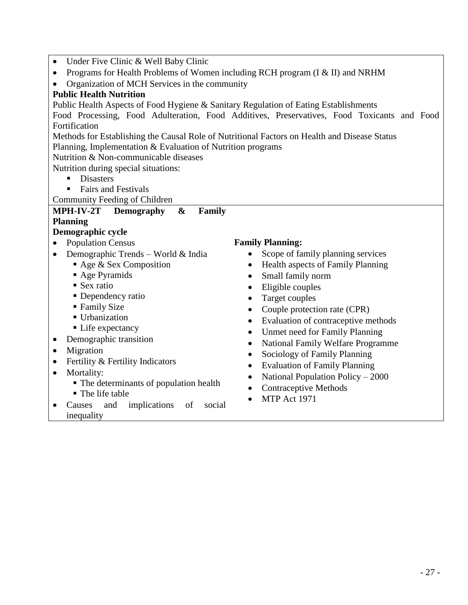|  | Under Five Clinic & Well Baby Clinic |  |  |  |  |  |  |
|--|--------------------------------------|--|--|--|--|--|--|
|--|--------------------------------------|--|--|--|--|--|--|

- Programs for Health Problems of Women including RCH program (I & II) and NRHM
- Organization of MCH Services in the community

#### **Public Health Nutrition**

Public Health Aspects of Food Hygiene & Sanitary Regulation of Eating Establishments

Food Processing, Food Adulteration, Food Additives, Preservatives, Food Toxicants and Food Fortification

Methods for Establishing the Causal Role of Nutritional Factors on Health and Disease Status Planning, Implementation & Evaluation of Nutrition programs

Nutrition & Non-communicable diseases

Nutrition during special situations:

- **Disasters**
- Fairs and Festivals
- Community Feeding of Children

### **MPH-IV-2T Demography & Family**

#### **Planning**

#### **Demographic cycle**

- Population Census
- Demographic Trends World & India
	- Age & Sex Composition
	- Age Pyramids
	- Sex ratio
	- Dependency ratio
	- Family Size
	- **Urbanization**
	- Life expectancy
- Demographic transition
- Migration
- Fertility & Fertility Indicators
- Mortality:
	- $\blacksquare$  The determinants of population health
	- The life table
- Causes and implications of social inequality

#### **Family Planning:**

- Scope of family planning services
- Health aspects of Family Planning
- Small family norm
- Eligible couples
- Target couples
- Couple protection rate (CPR)
- Evaluation of contraceptive methods
- Unmet need for Family Planning
- National Family Welfare Programme
- Sociology of Family Planning
- Evaluation of Family Planning
- National Population Policy 2000
- Contraceptive Methods
- $\bullet$  MTP Act 1971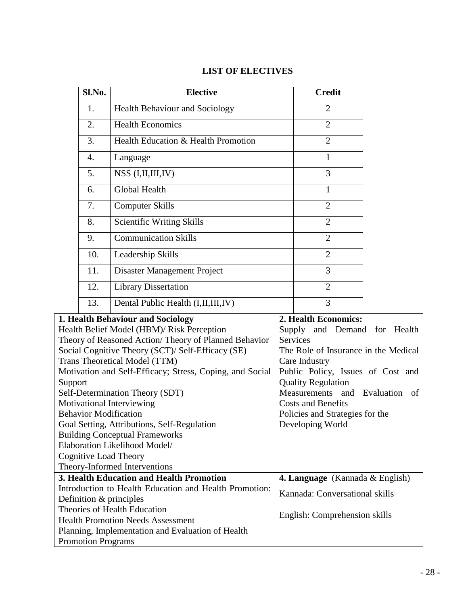| Sl.No. | <b>Elective</b>                       | <b>Credit</b>              |
|--------|---------------------------------------|----------------------------|
| 1.     | <b>Health Behaviour and Sociology</b> | $\overline{2}$             |
| 2.     | <b>Health Economics</b>               | $\overline{2}$             |
| 3.     | Health Education & Health Promotion   | $\overline{2}$             |
| 4.     | Language                              | $\mathbf{1}$               |
| 5.     | $NSS$ (I,II,III,IV)                   | 3                          |
| 6.     | Global Health                         | 1                          |
| 7.     | <b>Computer Skills</b>                | $\overline{2}$             |
| 8.     | <b>Scientific Writing Skills</b>      | $\overline{2}$             |
| 9.     | <b>Communication Skills</b>           | $\overline{2}$             |
| 10.    | Leadership Skills                     | $\overline{2}$             |
| 11.    | Disaster Management Project           | 3                          |
| 12.    | <b>Library Dissertation</b>           | $\overline{2}$             |
| 13.    | Dental Public Health (I, II, III, IV) | 3                          |
|        | alth Roboviour and Cociology          | <b>1 Hoalth Foonomical</b> |

## **LIST OF ELECTIVES**

| 1. Health Behaviour and Sociology                        | 2. Health Economics:                      |  |  |
|----------------------------------------------------------|-------------------------------------------|--|--|
| Health Belief Model (HBM)/ Risk Perception               | Supply and Demand for Health              |  |  |
| Theory of Reasoned Action/Theory of Planned Behavior     | <b>Services</b>                           |  |  |
| Social Cognitive Theory (SCT)/ Self-Efficacy (SE)        | The Role of Insurance in the Medical      |  |  |
| Trans Theoretical Model (TTM)                            | Care Industry                             |  |  |
| Motivation and Self-Efficacy; Stress, Coping, and Social | Public Policy, Issues of Cost and         |  |  |
| Support                                                  | <b>Quality Regulation</b>                 |  |  |
| Self-Determination Theory (SDT)                          | Measurements and Evaluation of            |  |  |
| Motivational Interviewing                                | <b>Costs and Benefits</b>                 |  |  |
| <b>Behavior Modification</b>                             | Policies and Strategies for the           |  |  |
| Goal Setting, Attributions, Self-Regulation              | Developing World                          |  |  |
| <b>Building Conceptual Frameworks</b>                    |                                           |  |  |
| Elaboration Likelihood Model/                            |                                           |  |  |
| Cognitive Load Theory                                    |                                           |  |  |
| Theory-Informed Interventions                            |                                           |  |  |
| 3. Health Education and Health Promotion                 | <b>4. Language</b> (Kannada $\&$ English) |  |  |
| Introduction to Health Education and Health Promotion:   | Kannada: Conversational skills            |  |  |
| Definition & principles                                  |                                           |  |  |
| Theories of Health Education                             |                                           |  |  |
| <b>Health Promotion Needs Assessment</b>                 | English: Comprehension skills             |  |  |
| Planning, Implementation and Evaluation of Health        |                                           |  |  |
| <b>Promotion Programs</b>                                |                                           |  |  |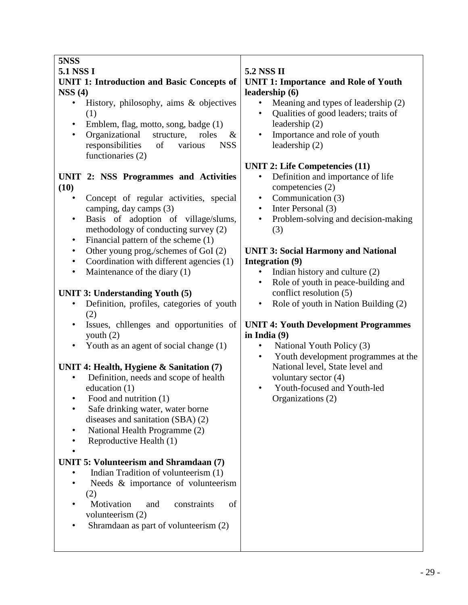# **5NSS**

## **5.1 NSS I**

### **UNIT 1: Introduction and Basic Concepts of NSS (4)**

- History, philosophy, aims & objectives (1)
- Emblem, flag, motto, song, badge (1)
- Organizational structure, roles & responsibilities of various NSS functionaries (2)

## **UNIT 2: NSS Programmes and Activities (10)**

- Concept of regular activities, special camping, day camps (3)
- Basis of adoption of village/slums, methodology of conducting survey (2)
- Financial pattern of the scheme (1)
- Other young prog,/schemes of GoI (2)
- Coordination with different agencies (1)
- Maintenance of the diary (1)

# **UNIT 3: Understanding Youth (5)**

- Definition, profiles, categories of youth (2)
- Issues, chllenges and opportunities of youth (2)
- Youth as an agent of social change (1)

# **UNIT 4: Health, Hygiene & Sanitation (7)**

- Definition, needs and scope of health education (1)
- Food and nutrition (1)
- Safe drinking water, water borne diseases and sanitation (SBA) (2)
- National Health Programme (2)
- Reproductive Health (1)

#### • **UNIT 5: Volunteerism and Shramdaan (7)**

- Indian Tradition of volunteerism (1)
- Needs & importance of volunteerism (2)
- Motivation and constraints of volunteerism (2)
- Shramdaan as part of volunteerism (2)

# **5.2 NSS II**

### **UNIT 1: Importance and Role of Youth leadership (6)**

- Meaning and types of leadership (2)
- Qualities of good leaders; traits of leadership (2)
- Importance and role of youth leadership (2)

## **UNIT 2: Life Competencies (11)**

- Definition and importance of life competencies (2)
- Communication (3)
- Inter Personal (3)
- Problem-solving and decision-making (3)

### **UNIT 3: Social Harmony and National Integration (9)**

- Indian history and culture (2)
- Role of youth in peace-building and conflict resolution (5)
- Role of youth in Nation Building (2)

### **UNIT 4: Youth Development Programmes in India (9)**

- National Youth Policy (3)
- Youth development programmes at the National level, State level and voluntary sector (4)
- Youth-focused and Youth-led Organizations (2)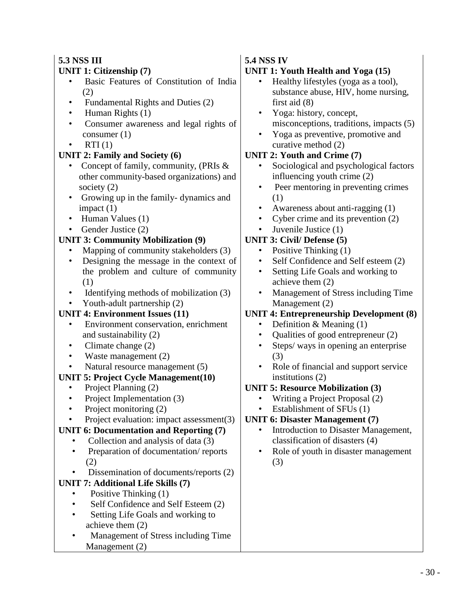### **5.3 NSS III UNIT 1: Citizenship (7)**

- Basic Features of Constitution of India (2)
- Fundamental Rights and Duties (2)
- Human Rights (1)
- Consumer awareness and legal rights of consumer (1)
- $RTI(1)$

## **UNIT 2: Family and Society (6)**

- Concept of family, community, (PRIs & other community-based organizations) and society (2)
- Growing up in the family- dynamics and impact (1)
- Human Values (1)
- Gender Justice (2)

## **UNIT 3: Community Mobilization (9)**

- Mapping of community stakeholders (3)
- Designing the message in the context of the problem and culture of community (1)
- Identifying methods of mobilization (3)
- Youth-adult partnership (2)

# **UNIT 4: Environment Issues (11)**

- Environment conservation, enrichment and sustainability (2)
- Climate change (2)
- Waste management (2)
- Natural resource management (5)

## **UNIT 5: Project Cycle Management(10)**

- Project Planning (2)
- Project Implementation (3)
- Project monitoring (2)
- Project evaluation: impact assessment(3)

## **UNIT 6: Documentation and Reporting (7)**

- Collection and analysis of data (3)
- Preparation of documentation/ reports (2)
- Dissemination of documents/reports (2)

# **UNIT 7: Additional Life Skills (7)**

- Positive Thinking (1)
- Self Confidence and Self Esteem (2)
- Setting Life Goals and working to achieve them (2)
- Management of Stress including Time Management (2)

## **5.4 NSS IV**

## **UNIT 1: Youth Health and Yoga (15)**

- Healthy lifestyles (yoga as a tool), substance abuse, HIV, home nursing, first aid (8)
- Yoga: history, concept, misconceptions, traditions, impacts (5)
- Yoga as preventive, promotive and curative method (2)

## **UNIT 2: Youth and Crime (7)**

- Sociological and psychological factors influencing youth crime (2)
- Peer mentoring in preventing crimes (1)
- Awareness about anti-ragging (1)
- Cyber crime and its prevention (2)
- Juvenile Justice (1)

## **UNIT 3: Civil/ Defense (5)**

- Positive Thinking (1)
- Self Confidence and Self esteem (2)
- Setting Life Goals and working to achieve them (2)
- Management of Stress including Time Management (2)

## **UNIT 4: Entrepreneurship Development (8)**

- Definition & Meaning (1)
- Qualities of good entrepreneur (2)
- Steps/ ways in opening an enterprise (3)
- Role of financial and support service institutions (2)

## **UNIT 5: Resource Mobilization (3)**

- Writing a Project Proposal (2)
- Establishment of SFUs (1)

## **UNIT 6: Disaster Management (7)**

- Introduction to Disaster Management, classification of disasters (4)
- Role of youth in disaster management (3)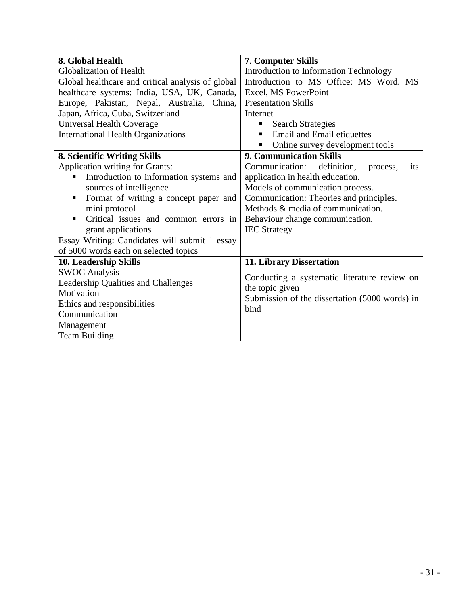| 8. Global Health                                  | <b>7. Computer Skills</b>                              |  |  |
|---------------------------------------------------|--------------------------------------------------------|--|--|
| Globalization of Health                           | Introduction to Information Technology                 |  |  |
| Global healthcare and critical analysis of global | Introduction to MS Office: MS Word, MS                 |  |  |
| healthcare systems: India, USA, UK, Canada,       | Excel, MS PowerPoint                                   |  |  |
| Europe, Pakistan, Nepal, Australia, China,        | <b>Presentation Skills</b>                             |  |  |
| Japan, Africa, Cuba, Switzerland                  | Internet                                               |  |  |
| Universal Health Coverage                         | <b>Search Strategies</b><br>п                          |  |  |
| <b>International Health Organizations</b>         | Email and Email etiquettes                             |  |  |
|                                                   | Online survey development tools                        |  |  |
| 8. Scientific Writing Skills                      | <b>9. Communication Skills</b>                         |  |  |
| <b>Application writing for Grants:</b>            | Communication:<br>definition,<br>its<br>process,       |  |  |
| Introduction to information systems and           | application in health education.                       |  |  |
| sources of intelligence                           | Models of communication process.                       |  |  |
| Format of writing a concept paper and<br>٠        | Communication: Theories and principles.                |  |  |
| mini protocol                                     | Methods & media of communication.                      |  |  |
| Critical issues and common errors in              | Behaviour change communication.                        |  |  |
| grant applications                                | <b>IEC</b> Strategy                                    |  |  |
| Essay Writing: Candidates will submit 1 essay     |                                                        |  |  |
| of 5000 words each on selected topics             |                                                        |  |  |
| 10. Leadership Skills                             | 11. Library Dissertation                               |  |  |
| <b>SWOC Analysis</b>                              | Conducting a systematic literature review on           |  |  |
| Leadership Qualities and Challenges               |                                                        |  |  |
| Motivation                                        | the topic given                                        |  |  |
| Ethics and responsibilities                       | Submission of the dissertation (5000 words) in<br>bind |  |  |
| Communication                                     |                                                        |  |  |
| Management                                        |                                                        |  |  |
| <b>Team Building</b>                              |                                                        |  |  |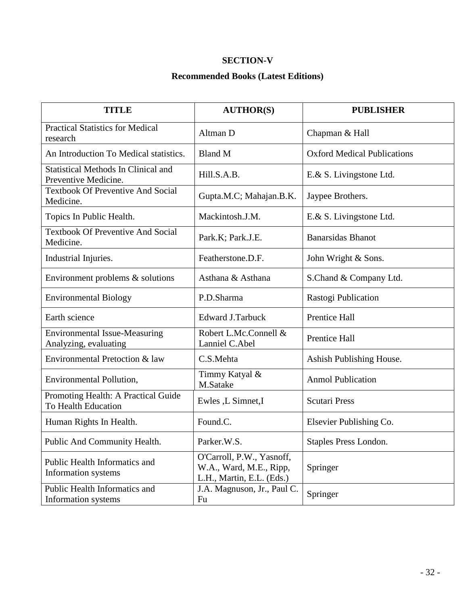### **SECTION-V**

### **Recommended Books (Latest Editions)**

| <b>TITLE</b>                                                       | <b>AUTHOR(S)</b>                                                                  | <b>PUBLISHER</b>                   |
|--------------------------------------------------------------------|-----------------------------------------------------------------------------------|------------------------------------|
| <b>Practical Statistics for Medical</b><br>research                | Altman D                                                                          | Chapman & Hall                     |
| An Introduction To Medical statistics.                             | <b>Bland M</b>                                                                    | <b>Oxford Medical Publications</b> |
| <b>Statistical Methods In Clinical and</b><br>Preventive Medicine. | Hill.S.A.B.                                                                       | E.& S. Livingstone Ltd.            |
| <b>Textbook Of Preventive And Social</b><br>Medicine.              | Gupta.M.C; Mahajan.B.K.                                                           | Jaypee Brothers.                   |
| Topics In Public Health.                                           | Mackintosh.J.M.                                                                   | E.& S. Livingstone Ltd.            |
| <b>Textbook Of Preventive And Social</b><br>Medicine.              | Park.K; Park.J.E.                                                                 | <b>Banarsidas Bhanot</b>           |
| Industrial Injuries.                                               | Featherstone.D.F.                                                                 | John Wright & Sons.                |
| Environment problems $\&$ solutions                                | Asthana & Asthana                                                                 | S.Chand & Company Ltd.             |
| <b>Environmental Biology</b>                                       | P.D.Sharma                                                                        | Rastogi Publication                |
| Earth science                                                      | <b>Edward J.Tarbuck</b>                                                           | Prentice Hall                      |
| <b>Environmental Issue-Measuring</b><br>Analyzing, evaluating      | Robert L.Mc.Connell &<br>Lanniel C.Abel                                           | Prentice Hall                      |
| Environmental Pretoction & law                                     | C.S.Mehta                                                                         | Ashish Publishing House.           |
| Environmental Pollution,                                           | Timmy Katyal &<br>M.Satake                                                        | <b>Anmol Publication</b>           |
| Promoting Health: A Practical Guide<br>To Health Education         | Ewles ,L Simnet,I                                                                 | <b>Scutari Press</b>               |
| Human Rights In Health.                                            | Found.C.                                                                          | Elsevier Publishing Co.            |
| Public And Community Health.                                       | Parker.W.S                                                                        | Staples Press London.              |
| Public Health Informatics and<br>Information systems               | O'Carroll, P.W., Yasnoff,<br>W.A., Ward, M.E., Ripp,<br>L.H., Martin, E.L. (Eds.) | Springer                           |
| Public Health Informatics and<br>Information systems               | J.A. Magnuson, Jr., Paul C.<br>Fu                                                 | Springer                           |